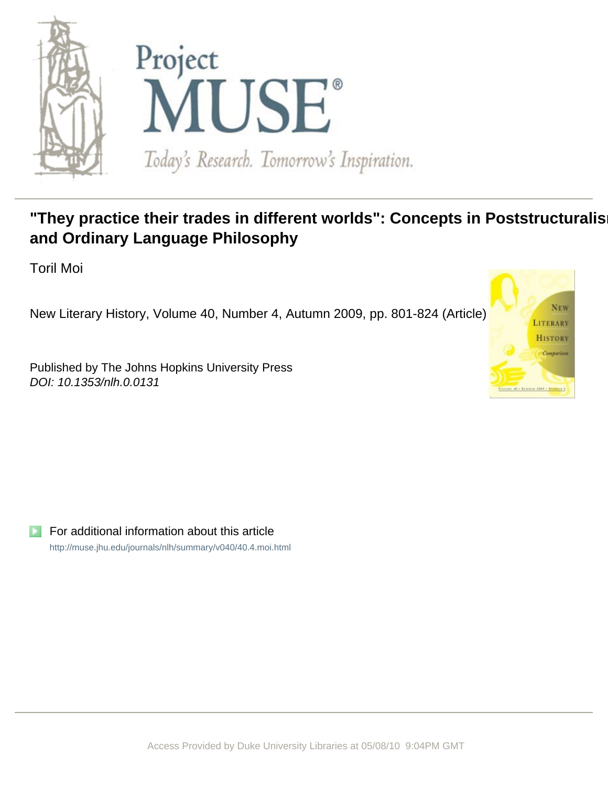

# **"They practice their trades in different worlds": Concepts in Poststructuralism and Ordinary Language Philosophy**

Toril Moi

New Literary History, Volume 40, Number 4, Autumn 2009, pp. 801-824 (Article)

Published by The Johns Hopkins University Press DOI: 10.1353/nlh.0.0131



For additional information about this article <http://muse.jhu.edu/journals/nlh/summary/v040/40.4.moi.html>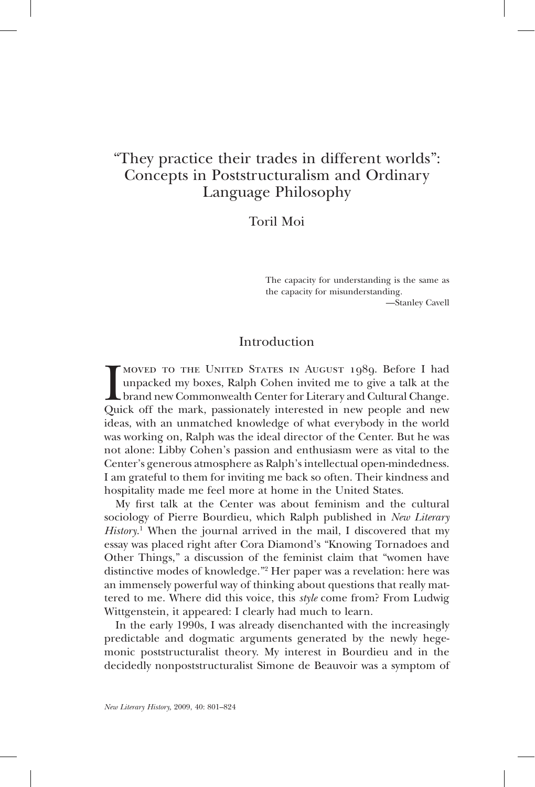# "They practice their trades in different worlds": Concepts in Poststructuralism and Ordinary Language Philosophy

#### Toril Moi

The capacity for understanding is the same as the capacity for misunderstanding.

—Stanley Cavell

#### Introduction

 $\prod_{\text{Out}}$ MOVED TO THE UNITED STATES IN AUGUST 1989. Before I had unpacked my boxes, Ralph Cohen invited me to give a talk at the brand new Commonwealth Center for Literary and Cultural Change. Quick off the mark, passionately interested in new people and new ideas, with an unmatched knowledge of what everybody in the world was working on, Ralph was the ideal director of the Center. But he was not alone: Libby Cohen's passion and enthusiasm were as vital to the Center's generous atmosphere as Ralph's intellectual open-mindedness. I am grateful to them for inviting me back so often. Their kindness and hospitality made me feel more at home in the United States.

My first talk at the Center was about feminism and the cultural sociology of Pierre Bourdieu, which Ralph published in *New Literary History*. 1 When the journal arrived in the mail, I discovered that my essay was placed right after Cora Diamond's "Knowing Tornadoes and Other Things," a discussion of the feminist claim that "women have distinctive modes of knowledge."2 Her paper was a revelation: here was an immensely powerful way of thinking about questions that really mattered to me. Where did this voice, this *style* come from? From Ludwig Wittgenstein, it appeared: I clearly had much to learn.

In the early 1990s, I was already disenchanted with the increasingly predictable and dogmatic arguments generated by the newly hegemonic poststructuralist theory. My interest in Bourdieu and in the decidedly nonpoststructuralist Simone de Beauvoir was a symptom of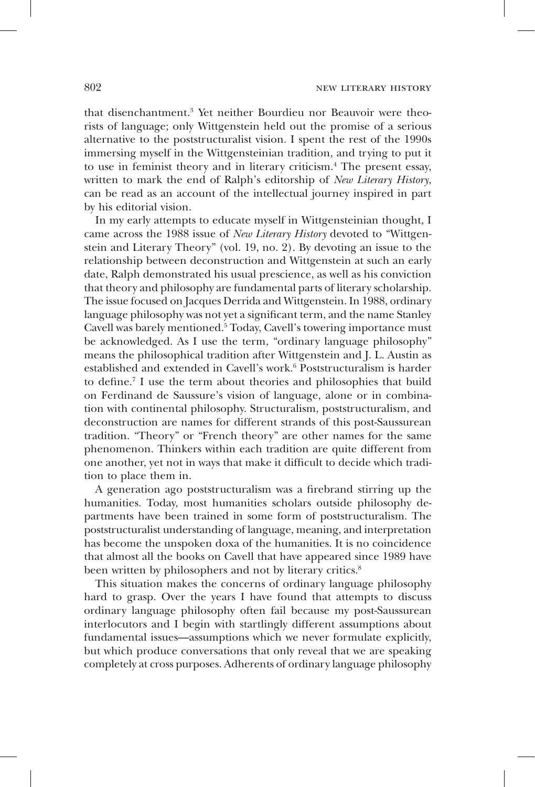that disenchantment.3 Yet neither Bourdieu nor Beauvoir were theorists of language; only Wittgenstein held out the promise of a serious alternative to the poststructuralist vision. I spent the rest of the 1990s immersing myself in the Wittgensteinian tradition, and trying to put it to use in feminist theory and in literary criticism.<sup>4</sup> The present essay, written to mark the end of Ralph's editorship of *New Literary History*, can be read as an account of the intellectual journey inspired in part by his editorial vision.

In my early attempts to educate myself in Wittgensteinian thought, I came across the 1988 issue of *New Literary History* devoted to "Wittgenstein and Literary Theory" (vol. 19, no. 2). By devoting an issue to the relationship between deconstruction and Wittgenstein at such an early date, Ralph demonstrated his usual prescience, as well as his conviction that theory and philosophy are fundamental parts of literary scholarship. The issue focused on Jacques Derrida and Wittgenstein. In 1988, ordinary language philosophy was not yet a significant term, and the name Stanley Cavell was barely mentioned.<sup>5</sup> Today, Cavell's towering importance must be acknowledged. As I use the term, "ordinary language philosophy" means the philosophical tradition after Wittgenstein and J. L. Austin as established and extended in Cavell's work.<sup>6</sup> Poststructuralism is harder to define.7 I use the term about theories and philosophies that build on Ferdinand de Saussure's vision of language, alone or in combination with continental philosophy. Structuralism, poststructuralism, and deconstruction are names for different strands of this post-Saussurean tradition. "Theory" or "French theory" are other names for the same phenomenon. Thinkers within each tradition are quite different from one another, yet not in ways that make it difficult to decide which tradition to place them in.

A generation ago poststructuralism was a firebrand stirring up the humanities. Today, most humanities scholars outside philosophy departments have been trained in some form of poststructuralism. The poststructuralist understanding of language, meaning, and interpretation has become the unspoken doxa of the humanities. It is no coincidence that almost all the books on Cavell that have appeared since 1989 have been written by philosophers and not by literary critics.<sup>8</sup>

This situation makes the concerns of ordinary language philosophy hard to grasp. Over the years I have found that attempts to discuss ordinary language philosophy often fail because my post-Saussurean interlocutors and I begin with startlingly different assumptions about fundamental issues—assumptions which we never formulate explicitly, but which produce conversations that only reveal that we are speaking completely at cross purposes. Adherents of ordinary language philosophy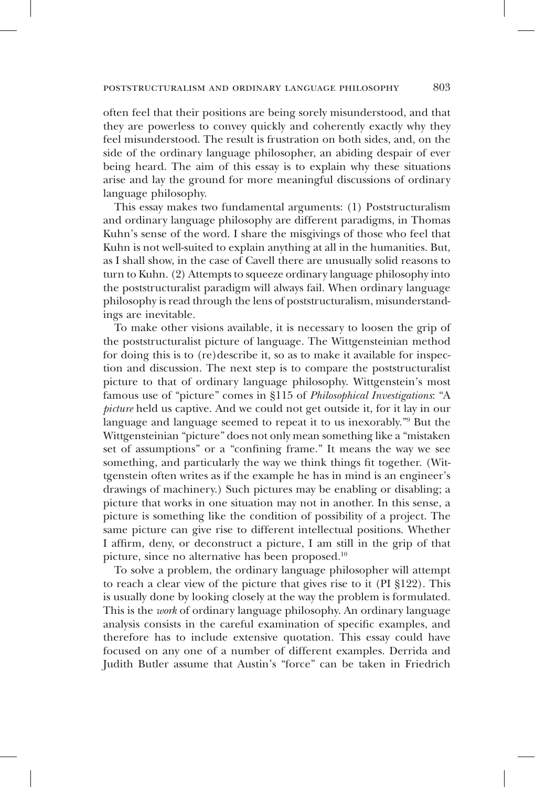often feel that their positions are being sorely misunderstood, and that they are powerless to convey quickly and coherently exactly why they feel misunderstood. The result is frustration on both sides, and, on the side of the ordinary language philosopher, an abiding despair of ever being heard. The aim of this essay is to explain why these situations arise and lay the ground for more meaningful discussions of ordinary language philosophy.

This essay makes two fundamental arguments: (1) Poststructuralism and ordinary language philosophy are different paradigms, in Thomas Kuhn's sense of the word. I share the misgivings of those who feel that Kuhn is not well-suited to explain anything at all in the humanities. But, as I shall show, in the case of Cavell there are unusually solid reasons to turn to Kuhn. (2) Attempts to squeeze ordinary language philosophy into the poststructuralist paradigm will always fail. When ordinary language philosophy is read through the lens of poststructuralism, misunderstandings are inevitable.

To make other visions available, it is necessary to loosen the grip of the poststructuralist picture of language. The Wittgensteinian method for doing this is to (re)describe it, so as to make it available for inspection and discussion. The next step is to compare the poststructuralist picture to that of ordinary language philosophy. Wittgenstein's most famous use of "picture" comes in §115 of *Philosophical Investigations*: "A *picture* held us captive. And we could not get outside it, for it lay in our language and language seemed to repeat it to us inexorably."9 But the Wittgensteinian "picture" does not only mean something like a "mistaken set of assumptions" or a "confining frame." It means the way we see something, and particularly the way we think things fit together. (Wittgenstein often writes as if the example he has in mind is an engineer's drawings of machinery.) Such pictures may be enabling or disabling; a picture that works in one situation may not in another. In this sense, a picture is something like the condition of possibility of a project. The same picture can give rise to different intellectual positions. Whether I affirm, deny, or deconstruct a picture, I am still in the grip of that picture, since no alternative has been proposed.<sup>10</sup>

To solve a problem, the ordinary language philosopher will attempt to reach a clear view of the picture that gives rise to it (PI §122). This is usually done by looking closely at the way the problem is formulated. This is the *work* of ordinary language philosophy. An ordinary language analysis consists in the careful examination of specific examples, and therefore has to include extensive quotation. This essay could have focused on any one of a number of different examples. Derrida and Judith Butler assume that Austin's "force" can be taken in Friedrich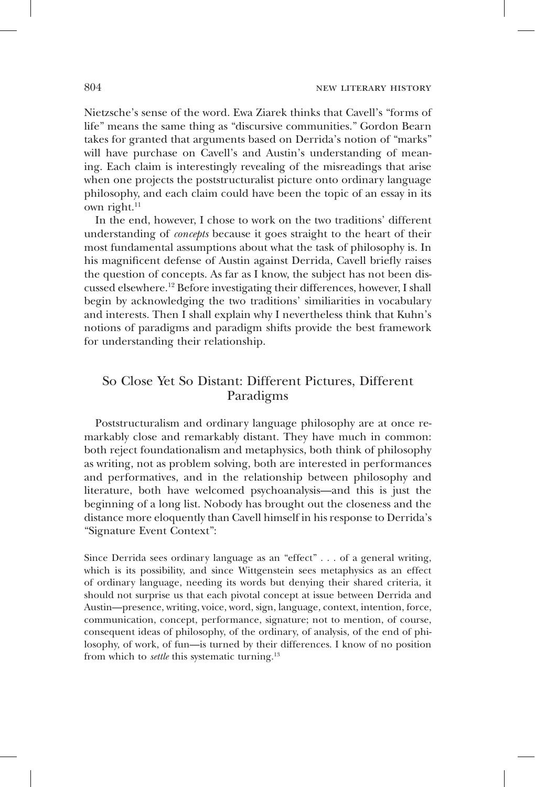Nietzsche's sense of the word. Ewa Ziarek thinks that Cavell's "forms of life" means the same thing as "discursive communities." Gordon Bearn takes for granted that arguments based on Derrida's notion of "marks" will have purchase on Cavell's and Austin's understanding of meaning. Each claim is interestingly revealing of the misreadings that arise when one projects the poststructuralist picture onto ordinary language philosophy, and each claim could have been the topic of an essay in its own right.<sup>11</sup>

In the end, however, I chose to work on the two traditions' different understanding of *concepts* because it goes straight to the heart of their most fundamental assumptions about what the task of philosophy is. In his magnificent defense of Austin against Derrida, Cavell briefly raises the question of concepts. As far as I know, the subject has not been discussed elsewhere.12 Before investigating their differences, however, I shall begin by acknowledging the two traditions' similiarities in vocabulary and interests. Then I shall explain why I nevertheless think that Kuhn's notions of paradigms and paradigm shifts provide the best framework for understanding their relationship.

## So Close Yet So Distant: Different Pictures, Different Paradigms

Poststructuralism and ordinary language philosophy are at once remarkably close and remarkably distant. They have much in common: both reject foundationalism and metaphysics, both think of philosophy as writing, not as problem solving, both are interested in performances and performatives, and in the relationship between philosophy and literature, both have welcomed psychoanalysis—and this is just the beginning of a long list. Nobody has brought out the closeness and the distance more eloquently than Cavell himself in his response to Derrida's "Signature Event Context":

Since Derrida sees ordinary language as an "effect" . . . of a general writing, which is its possibility, and since Wittgenstein sees metaphysics as an effect of ordinary language, needing its words but denying their shared criteria, it should not surprise us that each pivotal concept at issue between Derrida and Austin—presence, writing, voice, word, sign, language, context, intention, force, communication, concept, performance, signature; not to mention, of course, consequent ideas of philosophy, of the ordinary, of analysis, of the end of philosophy, of work, of fun—is turned by their differences. I know of no position from which to *settle* this systematic turning.13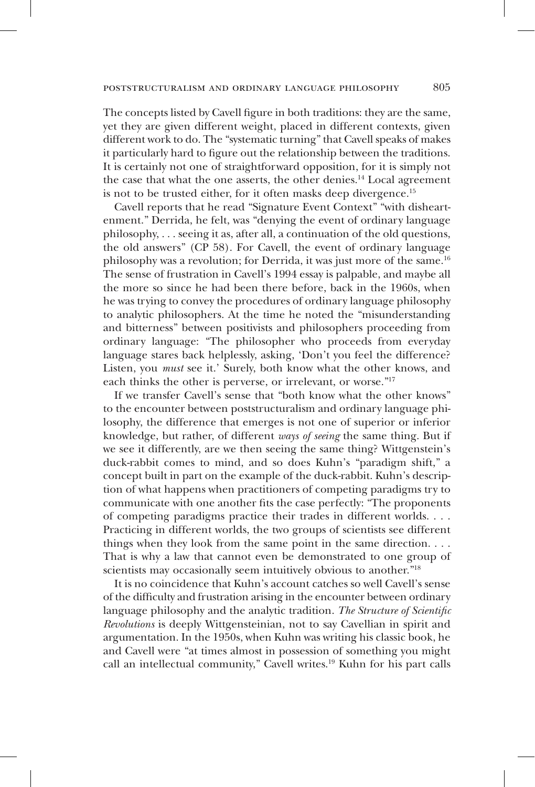The concepts listed by Cavell figure in both traditions: they are the same, yet they are given different weight, placed in different contexts, given different work to do. The "systematic turning" that Cavell speaks of makes it particularly hard to figure out the relationship between the traditions. It is certainly not one of straightforward opposition, for it is simply not the case that what the one asserts, the other denies.14 Local agreement is not to be trusted either, for it often masks deep divergence.<sup>15</sup>

Cavell reports that he read "Signature Event Context" "with disheartenment." Derrida, he felt, was "denying the event of ordinary language philosophy, . . . seeing it as, after all, a continuation of the old questions, the old answers" (CP 58). For Cavell, the event of ordinary language philosophy was a revolution; for Derrida, it was just more of the same.16 The sense of frustration in Cavell's 1994 essay is palpable, and maybe all the more so since he had been there before, back in the 1960s, when he was trying to convey the procedures of ordinary language philosophy to analytic philosophers. At the time he noted the "misunderstanding and bitterness" between positivists and philosophers proceeding from ordinary language: "The philosopher who proceeds from everyday language stares back helplessly, asking, 'Don't you feel the difference? Listen, you *must* see it.' Surely, both know what the other knows, and each thinks the other is perverse, or irrelevant, or worse."17

If we transfer Cavell's sense that "both know what the other knows" to the encounter between poststructuralism and ordinary language philosophy, the difference that emerges is not one of superior or inferior knowledge, but rather, of different *ways of seeing* the same thing. But if we see it differently, are we then seeing the same thing? Wittgenstein's duck-rabbit comes to mind, and so does Kuhn's "paradigm shift," a concept built in part on the example of the duck-rabbit. Kuhn's description of what happens when practitioners of competing paradigms try to communicate with one another fits the case perfectly: "The proponents of competing paradigms practice their trades in different worlds. . . . Practicing in different worlds, the two groups of scientists see different things when they look from the same point in the same direction. . . . That is why a law that cannot even be demonstrated to one group of scientists may occasionally seem intuitively obvious to another."<sup>18</sup>

It is no coincidence that Kuhn's account catches so well Cavell's sense of the difficulty and frustration arising in the encounter between ordinary language philosophy and the analytic tradition. *The Structure of Scientific Revolutions* is deeply Wittgensteinian, not to say Cavellian in spirit and argumentation. In the 1950s, when Kuhn was writing his classic book, he and Cavell were "at times almost in possession of something you might call an intellectual community," Cavell writes.19 Kuhn for his part calls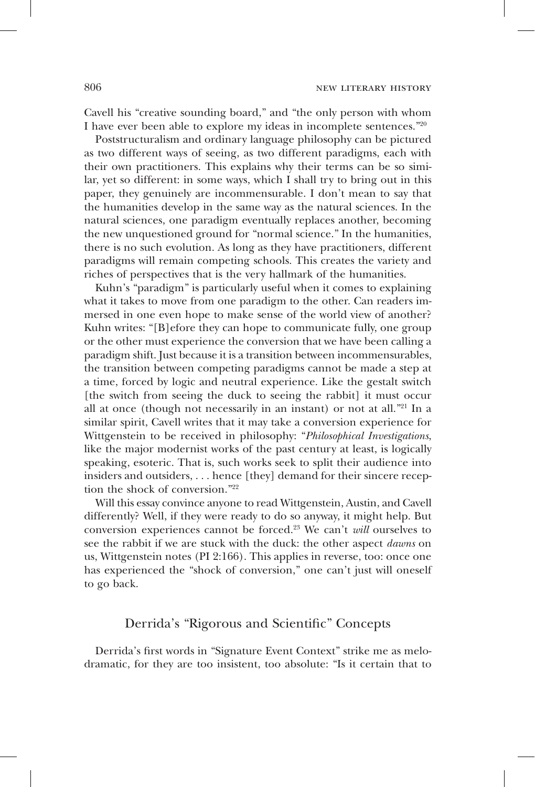Cavell his "creative sounding board," and "the only person with whom I have ever been able to explore my ideas in incomplete sentences."20

Poststructuralism and ordinary language philosophy can be pictured as two different ways of seeing, as two different paradigms, each with their own practitioners. This explains why their terms can be so similar, yet so different: in some ways, which I shall try to bring out in this paper, they genuinely are incommensurable. I don't mean to say that the humanities develop in the same way as the natural sciences. In the natural sciences, one paradigm eventually replaces another, becoming the new unquestioned ground for "normal science." In the humanities, there is no such evolution. As long as they have practitioners, different paradigms will remain competing schools. This creates the variety and riches of perspectives that is the very hallmark of the humanities.

Kuhn's "paradigm" is particularly useful when it comes to explaining what it takes to move from one paradigm to the other. Can readers immersed in one even hope to make sense of the world view of another? Kuhn writes: "[B]efore they can hope to communicate fully, one group or the other must experience the conversion that we have been calling a paradigm shift. Just because it is a transition between incommensurables, the transition between competing paradigms cannot be made a step at a time, forced by logic and neutral experience. Like the gestalt switch [the switch from seeing the duck to seeing the rabbit] it must occur all at once (though not necessarily in an instant) or not at all."<sup>21</sup> In a similar spirit, Cavell writes that it may take a conversion experience for Wittgenstein to be received in philosophy: "*Philosophical Investigations*, like the major modernist works of the past century at least, is logically speaking, esoteric. That is, such works seek to split their audience into insiders and outsiders, . . . hence [they] demand for their sincere reception the shock of conversion."22

Will this essay convince anyone to read Wittgenstein, Austin, and Cavell differently? Well, if they were ready to do so anyway, it might help. But conversion experiences cannot be forced.23 We can't *will* ourselves to see the rabbit if we are stuck with the duck: the other aspect *dawns* on us, Wittgenstein notes (PI 2:166). This applies in reverse, too: once one has experienced the "shock of conversion," one can't just will oneself to go back.

## Derrida's "Rigorous and Scientific" Concepts

Derrida's first words in "Signature Event Context" strike me as melodramatic, for they are too insistent, too absolute: "Is it certain that to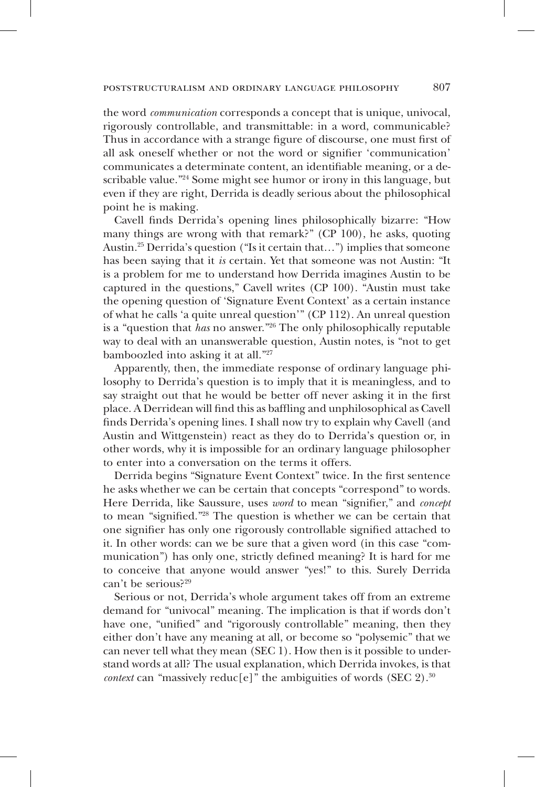the word *communication* corresponds a concept that is unique, univocal, rigorously controllable, and transmittable: in a word, communicable? Thus in accordance with a strange figure of discourse, one must first of all ask oneself whether or not the word or signifier 'communication' communicates a determinate content, an identifiable meaning, or a describable value."<sup>24</sup> Some might see humor or irony in this language, but even if they are right, Derrida is deadly serious about the philosophical point he is making.

Cavell finds Derrida's opening lines philosophically bizarre: "How many things are wrong with that remark?" (CP 100), he asks, quoting Austin.25 Derrida's question ("Is it certain that…") implies that someone has been saying that it *is* certain. Yet that someone was not Austin: "It is a problem for me to understand how Derrida imagines Austin to be captured in the questions," Cavell writes (CP 100). "Austin must take the opening question of 'Signature Event Context' as a certain instance of what he calls 'a quite unreal question'" (CP 112). An unreal question is a "question that *has* no answer."26 The only philosophically reputable way to deal with an unanswerable question, Austin notes, is "not to get bamboozled into asking it at all."27

Apparently, then, the immediate response of ordinary language philosophy to Derrida's question is to imply that it is meaningless, and to say straight out that he would be better off never asking it in the first place. A Derridean will find this as baffling and unphilosophical as Cavell finds Derrida's opening lines. I shall now try to explain why Cavell (and Austin and Wittgenstein) react as they do to Derrida's question or, in other words, why it is impossible for an ordinary language philosopher to enter into a conversation on the terms it offers.

Derrida begins "Signature Event Context" twice. In the first sentence he asks whether we can be certain that concepts "correspond" to words. Here Derrida, like Saussure, uses *word* to mean "signifier," and *concept* to mean "signified."28 The question is whether we can be certain that one signifier has only one rigorously controllable signified attached to it. In other words: can we be sure that a given word (in this case "communication") has only one, strictly defined meaning? It is hard for me to conceive that anyone would answer "yes!" to this. Surely Derrida can't be serious?<sup>29</sup>

Serious or not, Derrida's whole argument takes off from an extreme demand for "univocal" meaning. The implication is that if words don't have one, "unified" and "rigorously controllable" meaning, then they either don't have any meaning at all, or become so "polysemic" that we can never tell what they mean (SEC 1). How then is it possible to understand words at all? The usual explanation, which Derrida invokes, is that *context* can "massively reduc[e]" the ambiguities of words (SEC 2).<sup>30</sup>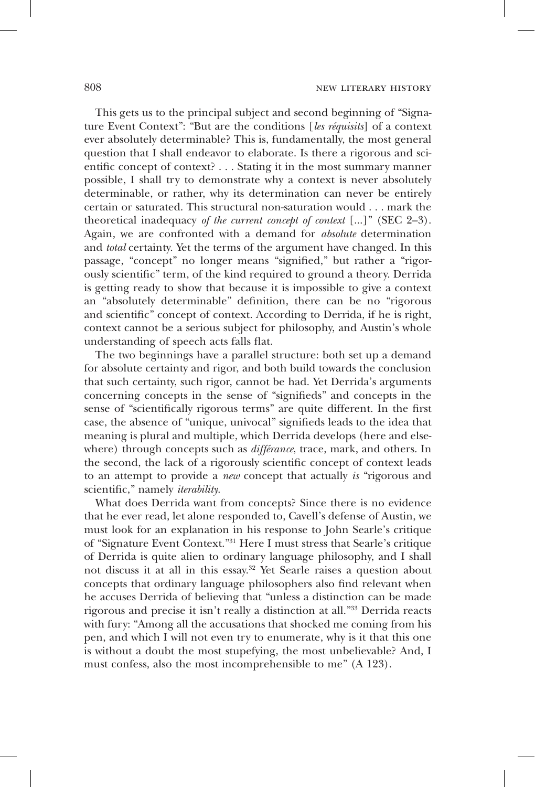This gets us to the principal subject and second beginning of "Signature Event Context": "But are the conditions [*les réquisits*] of a context ever absolutely determinable? This is, fundamentally, the most general question that I shall endeavor to elaborate. Is there a rigorous and scientific concept of context? . . . Stating it in the most summary manner possible, I shall try to demonstrate why a context is never absolutely determinable, or rather, why its determination can never be entirely certain or saturated. This structural non-saturation would . . . mark the theoretical inadequacy *of the current concept of context* [...]" (SEC 2–3). Again, we are confronted with a demand for *absolute* determination and *total* certainty. Yet the terms of the argument have changed. In this passage, "concept" no longer means "signified," but rather a "rigorously scientific" term, of the kind required to ground a theory. Derrida is getting ready to show that because it is impossible to give a context an "absolutely determinable" definition, there can be no "rigorous and scientific" concept of context. According to Derrida, if he is right, context cannot be a serious subject for philosophy, and Austin's whole understanding of speech acts falls flat.

The two beginnings have a parallel structure: both set up a demand for absolute certainty and rigor, and both build towards the conclusion that such certainty, such rigor, cannot be had. Yet Derrida's arguments concerning concepts in the sense of "signifieds" and concepts in the sense of "scientifically rigorous terms" are quite different. In the first case, the absence of "unique, univocal" signifieds leads to the idea that meaning is plural and multiple, which Derrida develops (here and elsewhere) through concepts such as *différance*, trace, mark, and others. In the second, the lack of a rigorously scientific concept of context leads to an attempt to provide a *new* concept that actually *is* "rigorous and scientific," namely *iterability*.

What does Derrida want from concepts? Since there is no evidence that he ever read, let alone responded to, Cavell's defense of Austin, we must look for an explanation in his response to John Searle's critique of "Signature Event Context."31 Here I must stress that Searle's critique of Derrida is quite alien to ordinary language philosophy, and I shall not discuss it at all in this essay.32 Yet Searle raises a question about concepts that ordinary language philosophers also find relevant when he accuses Derrida of believing that "unless a distinction can be made rigorous and precise it isn't really a distinction at all."33 Derrida reacts with fury: "Among all the accusations that shocked me coming from his pen, and which I will not even try to enumerate, why is it that this one is without a doubt the most stupefying, the most unbelievable? And, I must confess, also the most incomprehensible to me" (A 123).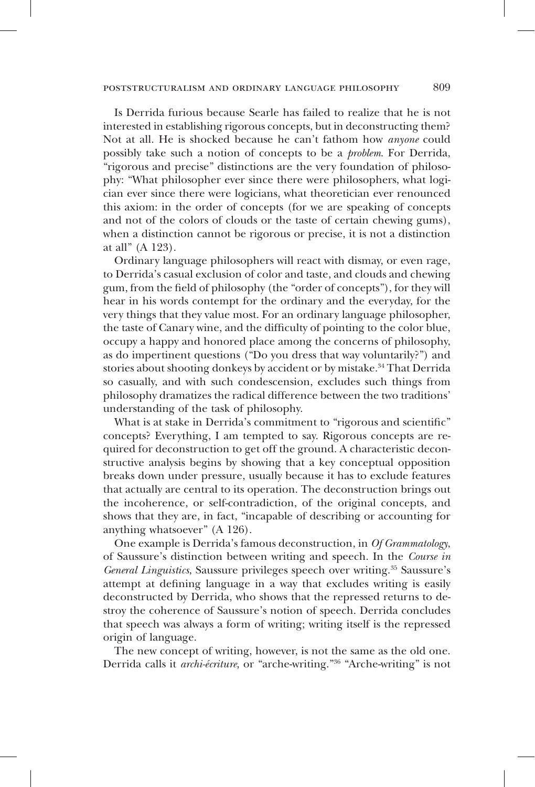Is Derrida furious because Searle has failed to realize that he is not interested in establishing rigorous concepts, but in deconstructing them? Not at all. He is shocked because he can't fathom how *anyone* could possibly take such a notion of concepts to be a *problem*. For Derrida, "rigorous and precise" distinctions are the very foundation of philosophy: "What philosopher ever since there were philosophers, what logician ever since there were logicians, what theoretician ever renounced this axiom: in the order of concepts (for we are speaking of concepts and not of the colors of clouds or the taste of certain chewing gums), when a distinction cannot be rigorous or precise, it is not a distinction at all" (A 123).

Ordinary language philosophers will react with dismay, or even rage, to Derrida's casual exclusion of color and taste, and clouds and chewing gum, from the field of philosophy (the "order of concepts"), for they will hear in his words contempt for the ordinary and the everyday, for the very things that they value most. For an ordinary language philosopher, the taste of Canary wine, and the difficulty of pointing to the color blue, occupy a happy and honored place among the concerns of philosophy, as do impertinent questions ("Do you dress that way voluntarily?") and stories about shooting donkeys by accident or by mistake.<sup>34</sup> That Derrida so casually, and with such condescension, excludes such things from philosophy dramatizes the radical difference between the two traditions' understanding of the task of philosophy.

What is at stake in Derrida's commitment to "rigorous and scientific" concepts? Everything, I am tempted to say. Rigorous concepts are required for deconstruction to get off the ground. A characteristic deconstructive analysis begins by showing that a key conceptual opposition breaks down under pressure, usually because it has to exclude features that actually are central to its operation. The deconstruction brings out the incoherence, or self-contradiction, of the original concepts, and shows that they are, in fact, "incapable of describing or accounting for anything whatsoever" (A 126).

One example is Derrida's famous deconstruction, in *Of Grammatology*, of Saussure's distinction between writing and speech. In the *Course in General Linguistics*, Saussure privileges speech over writing.35 Saussure's attempt at defining language in a way that excludes writing is easily deconstructed by Derrida, who shows that the repressed returns to destroy the coherence of Saussure's notion of speech. Derrida concludes that speech was always a form of writing; writing itself is the repressed origin of language.

The new concept of writing, however, is not the same as the old one. Derrida calls it *archi-écriture*, or "arche-writing."36 "Arche-writing" is not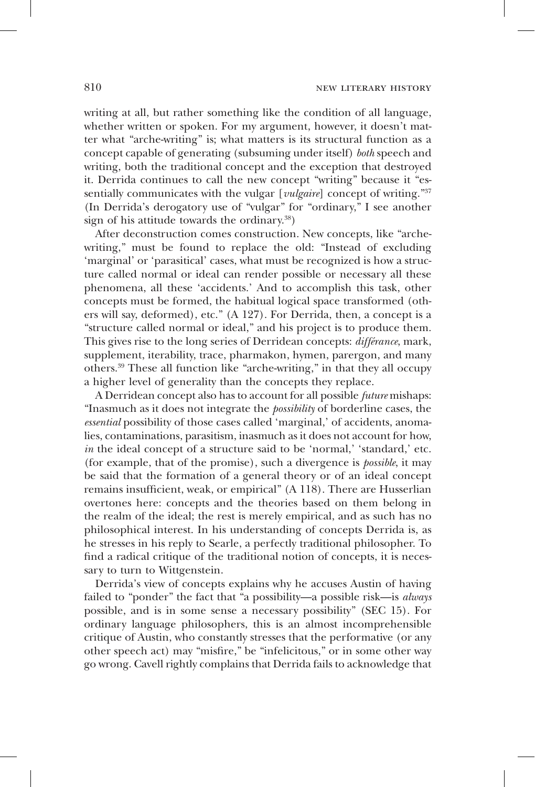writing at all, but rather something like the condition of all language, whether written or spoken. For my argument, however, it doesn't matter what "arche-writing" is; what matters is its structural function as a concept capable of generating (subsuming under itself) *both* speech and writing, both the traditional concept and the exception that destroyed it. Derrida continues to call the new concept "writing" because it "essentially communicates with the vulgar [*vulgaire*] concept of writing."<sup>37</sup> (In Derrida's derogatory use of "vulgar" for "ordinary," I see another sign of his attitude towards the ordinary. $38$ )

After deconstruction comes construction. New concepts, like "archewriting," must be found to replace the old: "Instead of excluding 'marginal' or 'parasitical' cases, what must be recognized is how a structure called normal or ideal can render possible or necessary all these phenomena, all these 'accidents.' And to accomplish this task, other concepts must be formed, the habitual logical space transformed (others will say, deformed), etc." (A 127). For Derrida, then, a concept is a "structure called normal or ideal," and his project is to produce them. This gives rise to the long series of Derridean concepts: *différance*, mark, supplement, iterability, trace, pharmakon, hymen, parergon, and many others.39 These all function like "arche-writing," in that they all occupy a higher level of generality than the concepts they replace.

A Derridean concept also has to account for all possible *future* mishaps: "Inasmuch as it does not integrate the *possibility* of borderline cases, the *essential* possibility of those cases called 'marginal,' of accidents, anomalies, contaminations, parasitism, inasmuch as it does not account for how, *in* the ideal concept of a structure said to be 'normal,' 'standard,' etc. (for example, that of the promise), such a divergence is *possible*, it may be said that the formation of a general theory or of an ideal concept remains insufficient, weak, or empirical" (A 118). There are Husserlian overtones here: concepts and the theories based on them belong in the realm of the ideal; the rest is merely empirical, and as such has no philosophical interest. In his understanding of concepts Derrida is, as he stresses in his reply to Searle, a perfectly traditional philosopher. To find a radical critique of the traditional notion of concepts, it is necessary to turn to Wittgenstein.

Derrida's view of concepts explains why he accuses Austin of having failed to "ponder" the fact that "a possibility—a possible risk—is *always* possible, and is in some sense a necessary possibility" (SEC 15). For ordinary language philosophers, this is an almost incomprehensible critique of Austin, who constantly stresses that the performative (or any other speech act) may "misfire," be "infelicitous," or in some other way go wrong. Cavell rightly complains that Derrida fails to acknowledge that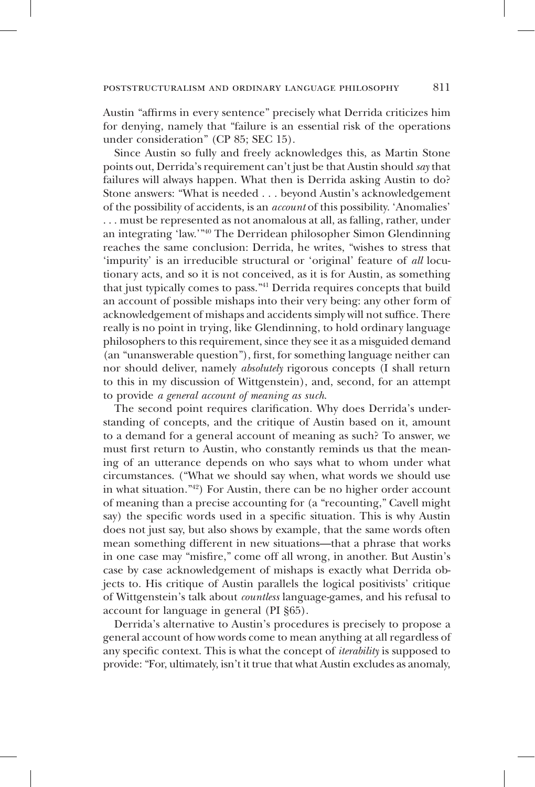Austin "affirms in every sentence" precisely what Derrida criticizes him for denying, namely that "failure is an essential risk of the operations under consideration" (CP 85; SEC 15).

Since Austin so fully and freely acknowledges this, as Martin Stone points out, Derrida's requirement can't just be that Austin should *say* that failures will always happen. What then is Derrida asking Austin to do? Stone answers: "What is needed . . . beyond Austin's acknowledgement of the possibility of accidents, is an *account* of this possibility. 'Anomalies' . . . must be represented as not anomalous at all, as falling, rather, under an integrating 'law.'"40 The Derridean philosopher Simon Glendinning reaches the same conclusion: Derrida, he writes, "wishes to stress that 'impurity' is an irreducible structural or 'original' feature of *all* locutionary acts, and so it is not conceived, as it is for Austin, as something that just typically comes to pass."41 Derrida requires concepts that build an account of possible mishaps into their very being: any other form of acknowledgement of mishaps and accidents simply will not suffice. There really is no point in trying, like Glendinning, to hold ordinary language philosophers to this requirement, since they see it as a misguided demand (an "unanswerable question"), first, for something language neither can nor should deliver, namely *absolutely* rigorous concepts (I shall return to this in my discussion of Wittgenstein), and, second, for an attempt to provide *a general account of meaning as such*.

The second point requires clarification. Why does Derrida's understanding of concepts, and the critique of Austin based on it, amount to a demand for a general account of meaning as such? To answer, we must first return to Austin, who constantly reminds us that the meaning of an utterance depends on who says what to whom under what circumstances. ("What we should say when, what words we should use in what situation."42) For Austin, there can be no higher order account of meaning than a precise accounting for (a "recounting," Cavell might say) the specific words used in a specific situation. This is why Austin does not just say, but also shows by example, that the same words often mean something different in new situations—that a phrase that works in one case may "misfire," come off all wrong, in another. But Austin's case by case acknowledgement of mishaps is exactly what Derrida objects to. His critique of Austin parallels the logical positivists' critique of Wittgenstein's talk about *countless* language-games, and his refusal to account for language in general (PI §65).

Derrida's alternative to Austin's procedures is precisely to propose a general account of how words come to mean anything at all regardless of any specific context. This is what the concept of *iterability* is supposed to provide: "For, ultimately, isn't it true that what Austin excludes as anomaly,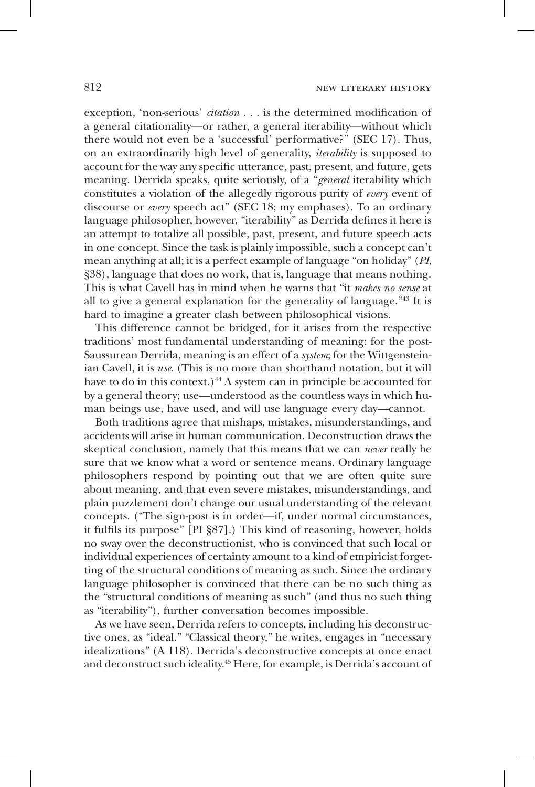exception, 'non-serious' *citation* . . . is the determined modification of a general citationality—or rather, a general iterability—without which there would not even be a 'successful' performative?" (SEC 17). Thus, on an extraordinarily high level of generality, *iterability* is supposed to account for the way any specific utterance, past, present, and future, gets meaning. Derrida speaks, quite seriously, of a "*general* iterability which constitutes a violation of the allegedly rigorous purity of *every* event of discourse or *every* speech act" (SEC 18; my emphases). To an ordinary language philosopher, however, "iterability" as Derrida defines it here is an attempt to totalize all possible, past, present, and future speech acts in one concept. Since the task is plainly impossible, such a concept can't mean anything at all; it is a perfect example of language "on holiday" (*PI*, §38), language that does no work, that is, language that means nothing. This is what Cavell has in mind when he warns that "it *makes no sense* at all to give a general explanation for the generality of language."43 It is hard to imagine a greater clash between philosophical visions.

This difference cannot be bridged, for it arises from the respective traditions' most fundamental understanding of meaning: for the post-Saussurean Derrida, meaning is an effect of a *system*; for the Wittgensteinian Cavell, it is *use*. (This is no more than shorthand notation, but it will have to do in this context.)<sup>44</sup> A system can in principle be accounted for by a general theory; use—understood as the countless ways in which human beings use, have used, and will use language every day—cannot.

Both traditions agree that mishaps, mistakes, misunderstandings, and accidents will arise in human communication. Deconstruction draws the skeptical conclusion, namely that this means that we can *never* really be sure that we know what a word or sentence means. Ordinary language philosophers respond by pointing out that we are often quite sure about meaning, and that even severe mistakes, misunderstandings, and plain puzzlement don't change our usual understanding of the relevant concepts. ("The sign-post is in order—if, under normal circumstances, it fulfils its purpose" [PI §87].) This kind of reasoning, however, holds no sway over the deconstructionist, who is convinced that such local or individual experiences of certainty amount to a kind of empiricist forgetting of the structural conditions of meaning as such. Since the ordinary language philosopher is convinced that there can be no such thing as the "structural conditions of meaning as such" (and thus no such thing as "iterability"), further conversation becomes impossible.

As we have seen, Derrida refers to concepts, including his deconstructive ones, as "ideal." "Classical theory," he writes, engages in "necessary idealizations" (A 118). Derrida's deconstructive concepts at once enact and deconstruct such ideality.45 Here, for example, is Derrida's account of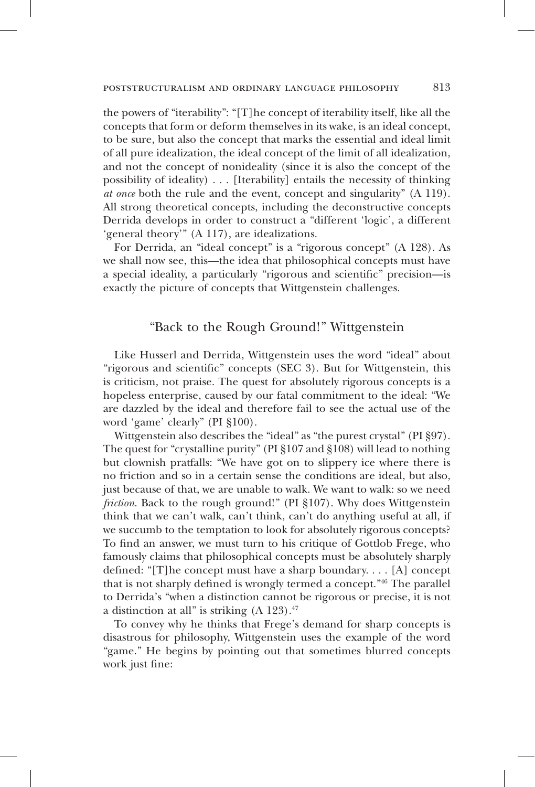the powers of "iterability": "[T]he concept of iterability itself, like all the concepts that form or deform themselves in its wake, is an ideal concept, to be sure, but also the concept that marks the essential and ideal limit of all pure idealization, the ideal concept of the limit of all idealization, and not the concept of nonideality (since it is also the concept of the possibility of ideality) . . . [Iterability] entails the necessity of thinking *at once* both the rule and the event, concept and singularity" (A 119). All strong theoretical concepts, including the deconstructive concepts Derrida develops in order to construct a "different 'logic', a different 'general theory'" (A 117), are idealizations.

For Derrida, an "ideal concept" is a "rigorous concept" (A 128). As we shall now see, this—the idea that philosophical concepts must have a special ideality, a particularly "rigorous and scientific" precision—is exactly the picture of concepts that Wittgenstein challenges.

#### "Back to the Rough Ground!" Wittgenstein

Like Husserl and Derrida, Wittgenstein uses the word "ideal" about "rigorous and scientific" concepts (SEC 3). But for Wittgenstein, this is criticism, not praise. The quest for absolutely rigorous concepts is a hopeless enterprise, caused by our fatal commitment to the ideal: "We are dazzled by the ideal and therefore fail to see the actual use of the word 'game' clearly" (PI §100).

Wittgenstein also describes the "ideal" as "the purest crystal" (PI §97). The quest for "crystalline purity" (PI §107 and §108) will lead to nothing but clownish pratfalls: "We have got on to slippery ice where there is no friction and so in a certain sense the conditions are ideal, but also, just because of that, we are unable to walk. We want to walk: so we need *friction*. Back to the rough ground!" (PI §107). Why does Wittgenstein think that we can't walk, can't think, can't do anything useful at all, if we succumb to the temptation to look for absolutely rigorous concepts? To find an answer, we must turn to his critique of Gottlob Frege, who famously claims that philosophical concepts must be absolutely sharply defined: "[T]he concept must have a sharp boundary.... [A] concept that is not sharply defined is wrongly termed a concept."46 The parallel to Derrida's "when a distinction cannot be rigorous or precise, it is not a distinction at all" is striking  $(A 123).47$ 

To convey why he thinks that Frege's demand for sharp concepts is disastrous for philosophy, Wittgenstein uses the example of the word "game." He begins by pointing out that sometimes blurred concepts work just fine: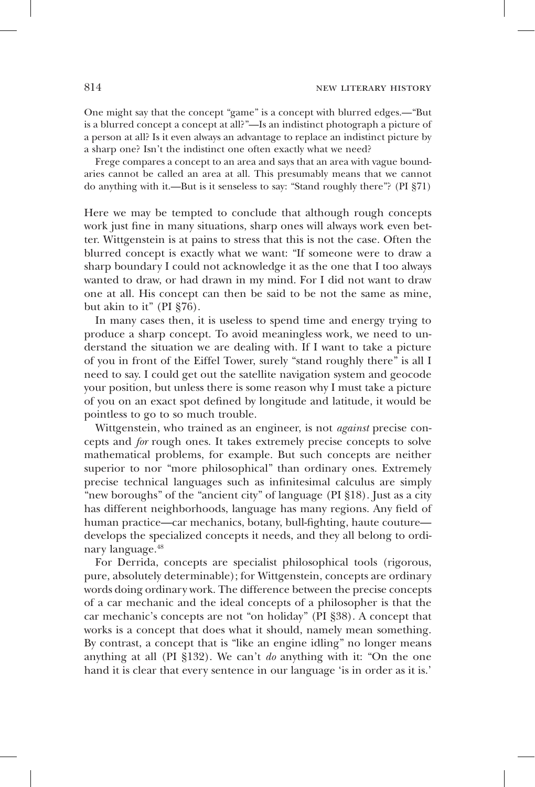One might say that the concept "game" is a concept with blurred edges.—"But is a blurred concept a concept at all?"—Is an indistinct photograph a picture of a person at all? Is it even always an advantage to replace an indistinct picture by a sharp one? Isn't the indistinct one often exactly what we need?

Frege compares a concept to an area and says that an area with vague boundaries cannot be called an area at all. This presumably means that we cannot do anything with it.—But is it senseless to say: "Stand roughly there"? (PI §71)

Here we may be tempted to conclude that although rough concepts work just fine in many situations, sharp ones will always work even better. Wittgenstein is at pains to stress that this is not the case. Often the blurred concept is exactly what we want: "If someone were to draw a sharp boundary I could not acknowledge it as the one that I too always wanted to draw, or had drawn in my mind. For I did not want to draw one at all. His concept can then be said to be not the same as mine, but akin to it" (PI §76).

In many cases then, it is useless to spend time and energy trying to produce a sharp concept. To avoid meaningless work, we need to understand the situation we are dealing with. If I want to take a picture of you in front of the Eiffel Tower, surely "stand roughly there" is all I need to say. I could get out the satellite navigation system and geocode your position, but unless there is some reason why I must take a picture of you on an exact spot defined by longitude and latitude, it would be pointless to go to so much trouble.

Wittgenstein, who trained as an engineer, is not *against* precise concepts and *for* rough ones. It takes extremely precise concepts to solve mathematical problems, for example. But such concepts are neither superior to nor "more philosophical" than ordinary ones. Extremely precise technical languages such as infinitesimal calculus are simply "new boroughs" of the "ancient city" of language (PI §18). Just as a city has different neighborhoods, language has many regions. Any field of human practice—car mechanics, botany, bull-fighting, haute couture develops the specialized concepts it needs, and they all belong to ordinary language.<sup>48</sup>

For Derrida, concepts are specialist philosophical tools (rigorous, pure, absolutely determinable); for Wittgenstein, concepts are ordinary words doing ordinary work. The difference between the precise concepts of a car mechanic and the ideal concepts of a philosopher is that the car mechanic's concepts are not "on holiday" (PI §38). A concept that works is a concept that does what it should, namely mean something. By contrast, a concept that is "like an engine idling" no longer means anything at all (PI §132). We can't *do* anything with it: "On the one hand it is clear that every sentence in our language 'is in order as it is.'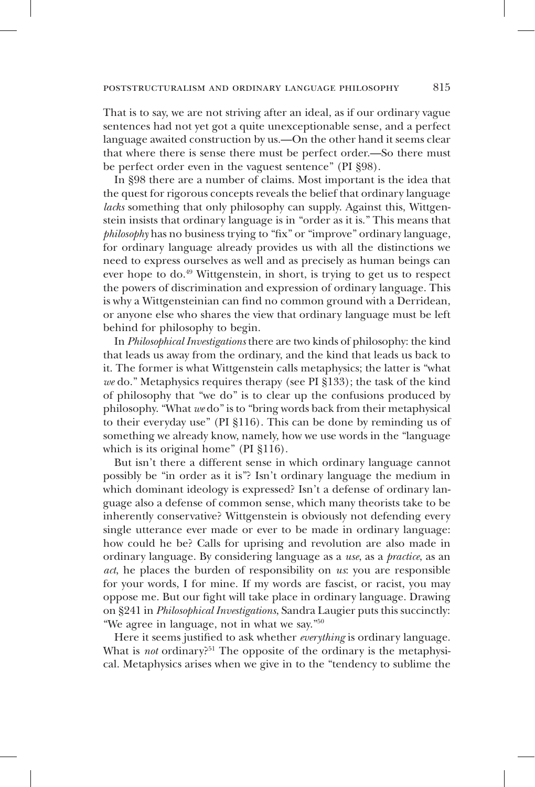That is to say, we are not striving after an ideal, as if our ordinary vague sentences had not yet got a quite unexceptionable sense, and a perfect language awaited construction by us.—On the other hand it seems clear that where there is sense there must be perfect order.—So there must be perfect order even in the vaguest sentence" (PI §98).

In §98 there are a number of claims. Most important is the idea that the quest for rigorous concepts reveals the belief that ordinary language *lacks* something that only philosophy can supply. Against this, Wittgenstein insists that ordinary language is in "order as it is." This means that *philosophy* has no business trying to "fix" or "improve" ordinary language, for ordinary language already provides us with all the distinctions we need to express ourselves as well and as precisely as human beings can ever hope to do.49 Wittgenstein, in short, is trying to get us to respect the powers of discrimination and expression of ordinary language. This is why a Wittgensteinian can find no common ground with a Derridean, or anyone else who shares the view that ordinary language must be left behind for philosophy to begin.

In *Philosophical Investigations* there are two kinds of philosophy: the kind that leads us away from the ordinary, and the kind that leads us back to it. The former is what Wittgenstein calls metaphysics; the latter is "what *we* do." Metaphysics requires therapy (see PI §133); the task of the kind of philosophy that "we do" is to clear up the confusions produced by philosophy. "What *we* do" is to "bring words back from their metaphysical to their everyday use" (PI §116). This can be done by reminding us of something we already know, namely, how we use words in the "language which is its original home" (PI §116).

But isn't there a different sense in which ordinary language cannot possibly be "in order as it is"? Isn't ordinary language the medium in which dominant ideology is expressed? Isn't a defense of ordinary language also a defense of common sense, which many theorists take to be inherently conservative? Wittgenstein is obviously not defending every single utterance ever made or ever to be made in ordinary language: how could he be? Calls for uprising and revolution are also made in ordinary language. By considering language as a *use*, as a *practice*, as an *act*, he places the burden of responsibility on *us*: you are responsible for your words, I for mine. If my words are fascist, or racist, you may oppose me. But our fight will take place in ordinary language. Drawing on §241 in *Philosophical Investigations*, Sandra Laugier puts this succinctly: "We agree in language, not in what we say."50

Here it seems justified to ask whether *everything* is ordinary language. What is *not* ordinary?<sup>51</sup> The opposite of the ordinary is the metaphysical. Metaphysics arises when we give in to the "tendency to sublime the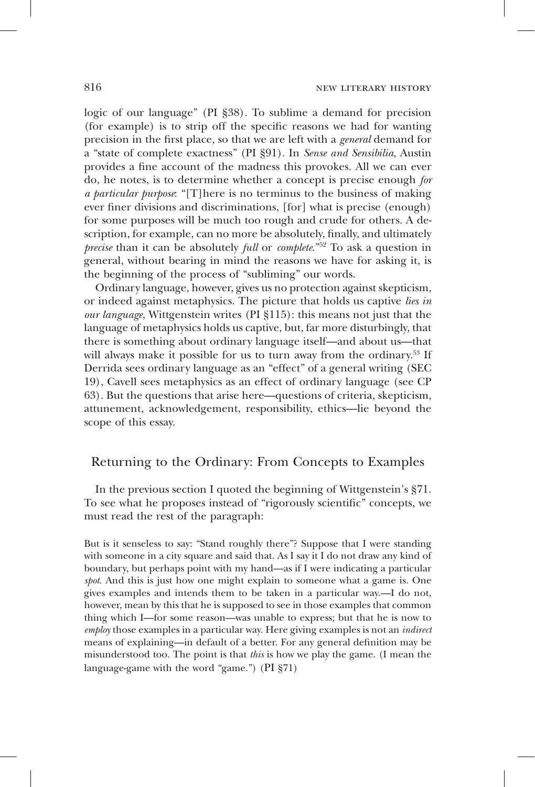logic of our language" (PI §38). To sublime a demand for precision (for example) is to strip off the specific reasons we had for wanting precision in the first place, so that we are left with a *general* demand for a "state of complete exactness" (PI §91). In *Sense and Sensibilia*, Austin provides a fine account of the madness this provokes. All we can ever do, he notes, is to determine whether a concept is precise enough *for a particular purpose*: "[T]here is no terminus to the business of making ever finer divisions and discriminations, [for] what is precise (enough) for some purposes will be much too rough and crude for others. A description, for example, can no more be absolutely, finally, and ultimately *precise* than it can be absolutely *full* or *complete*."52 To ask a question in general, without bearing in mind the reasons we have for asking it, is the beginning of the process of "subliming" our words.

Ordinary language, however, gives us no protection against skepticism, or indeed against metaphysics. The picture that holds us captive *lies in our language*, Wittgenstein writes (PI §115): this means not just that the language of metaphysics holds us captive, but, far more disturbingly, that there is something about ordinary language itself—and about us—that will always make it possible for us to turn away from the ordinary.<sup>53</sup> If Derrida sees ordinary language as an "effect" of a general writing (SEC 19), Cavell sees metaphysics as an effect of ordinary language (see CP 63). But the questions that arise here—questions of criteria, skepticism, attunement, acknowledgement, responsibility, ethics—lie beyond the scope of this essay.

#### Returning to the Ordinary: From Concepts to Examples

In the previous section I quoted the beginning of Wittgenstein's §71. To see what he proposes instead of "rigorously scientific" concepts, we must read the rest of the paragraph:

But is it senseless to say: "Stand roughly there"? Suppose that I were standing with someone in a city square and said that. As I say it I do not draw any kind of boundary, but perhaps point with my hand—as if I were indicating a particular *spot*. And this is just how one might explain to someone what a game is. One gives examples and intends them to be taken in a particular way.—I do not, however, mean by this that he is supposed to see in those examples that common thing which I—for some reason—was unable to express; but that he is now to *employ* those examples in a particular way. Here giving examples is not an *indirect* means of explaining—in default of a better. For any general definition may be misunderstood too. The point is that *this* is how we play the game. (I mean the language-game with the word "game.") (PI §71)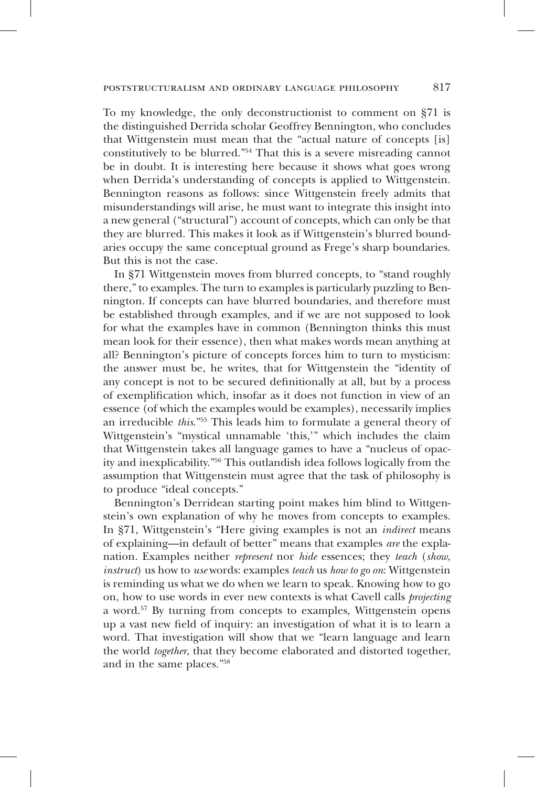To my knowledge, the only deconstructionist to comment on §71 is the distinguished Derrida scholar Geoffrey Bennington, who concludes that Wittgenstein must mean that the "actual nature of concepts [is] constitutively to be blurred."54 That this is a severe misreading cannot be in doubt. It is interesting here because it shows what goes wrong when Derrida's understanding of concepts is applied to Wittgenstein. Bennington reasons as follows: since Wittgenstein freely admits that misunderstandings will arise, he must want to integrate this insight into a new general ("structural") account of concepts, which can only be that they are blurred. This makes it look as if Wittgenstein's blurred boundaries occupy the same conceptual ground as Frege's sharp boundaries. But this is not the case.

In §71 Wittgenstein moves from blurred concepts, to "stand roughly there," to examples. The turn to examples is particularly puzzling to Bennington. If concepts can have blurred boundaries, and therefore must be established through examples, and if we are not supposed to look for what the examples have in common (Bennington thinks this must mean look for their essence), then what makes words mean anything at all? Bennington's picture of concepts forces him to turn to mysticism: the answer must be, he writes, that for Wittgenstein the "identity of any concept is not to be secured definitionally at all, but by a process of exemplification which, insofar as it does not function in view of an essence (of which the examples would be examples), necessarily implies an irreducible *this*."55 This leads him to formulate a general theory of Wittgenstein's "mystical unnamable 'this,'" which includes the claim that Wittgenstein takes all language games to have a "nucleus of opacity and inexplicability."56 This outlandish idea follows logically from the assumption that Wittgenstein must agree that the task of philosophy is to produce "ideal concepts."

Bennington's Derridean starting point makes him blind to Wittgenstein's own explanation of why he moves from concepts to examples. In §71, Wittgenstein's "Here giving examples is not an *indirect* means of explaining—in default of better" means that examples *are* the explanation. Examples neither *represent* nor *hide* essences; they *teach* (*show*, *instruct*) us how to *use* words: examples *teach* us *how to go on*: Wittgenstein is reminding us what we do when we learn to speak. Knowing how to go on, how to use words in ever new contexts is what Cavell calls *projecting* a word.<sup>57</sup> By turning from concepts to examples, Wittgenstein opens up a vast new field of inquiry: an investigation of what it is to learn a word. That investigation will show that we "learn language and learn the world *together*, that they become elaborated and distorted together, and in the same places."58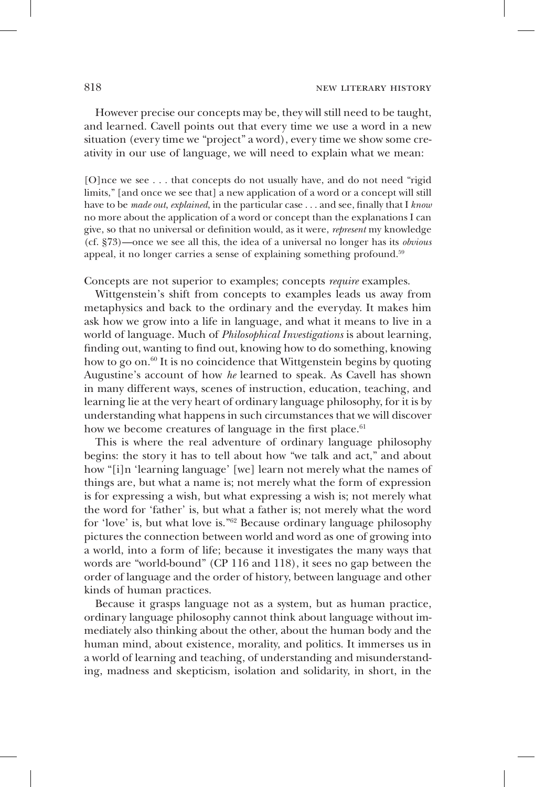However precise our concepts may be, they will still need to be taught, and learned. Cavell points out that every time we use a word in a new situation (every time we "project" a word), every time we show some creativity in our use of language, we will need to explain what we mean:

[O]nce we see . . . that concepts do not usually have, and do not need "rigid limits," [and once we see that] a new application of a word or a concept will still have to be *made out*, *explained*, in the particular case . . . and see, finally that I *know* no more about the application of a word or concept than the explanations I can give, so that no universal or definition would, as it were, *represent* my knowledge (cf. §73)—once we see all this, the idea of a universal no longer has its *obvious* appeal, it no longer carries a sense of explaining something profound.<sup>59</sup>

Concepts are not superior to examples; concepts *require* examples.

Wittgenstein's shift from concepts to examples leads us away from metaphysics and back to the ordinary and the everyday. It makes him ask how we grow into a life in language, and what it means to live in a world of language. Much of *Philosophical Investigations* is about learning, finding out, wanting to find out, knowing how to do something, knowing how to go on.<sup>60</sup> It is no coincidence that Wittgenstein begins by quoting Augustine's account of how *he* learned to speak. As Cavell has shown in many different ways, scenes of instruction, education, teaching, and learning lie at the very heart of ordinary language philosophy, for it is by understanding what happens in such circumstances that we will discover how we become creatures of language in the first place.<sup>61</sup>

This is where the real adventure of ordinary language philosophy begins: the story it has to tell about how "we talk and act," and about how "[i]n 'learning language' [we] learn not merely what the names of things are, but what a name is; not merely what the form of expression is for expressing a wish, but what expressing a wish is; not merely what the word for 'father' is, but what a father is; not merely what the word for 'love' is, but what love is."62 Because ordinary language philosophy pictures the connection between world and word as one of growing into a world, into a form of life; because it investigates the many ways that words are "world-bound" (CP 116 and 118), it sees no gap between the order of language and the order of history, between language and other kinds of human practices.

Because it grasps language not as a system, but as human practice, ordinary language philosophy cannot think about language without immediately also thinking about the other, about the human body and the human mind, about existence, morality, and politics. It immerses us in a world of learning and teaching, of understanding and misunderstanding, madness and skepticism, isolation and solidarity, in short, in the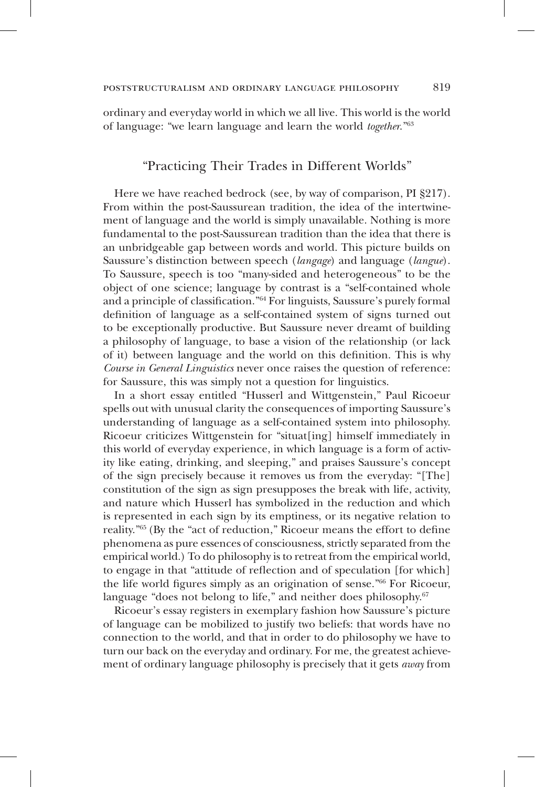ordinary and everyday world in which we all live. This world is the world of language: "we learn language and learn the world *together*."63

#### "Practicing Their Trades in Different Worlds"

Here we have reached bedrock (see, by way of comparison, PI §217). From within the post-Saussurean tradition, the idea of the intertwinement of language and the world is simply unavailable. Nothing is more fundamental to the post-Saussurean tradition than the idea that there is an unbridgeable gap between words and world. This picture builds on Saussure's distinction between speech (*langage*) and language (*langue*). To Saussure, speech is too "many-sided and heterogeneous" to be the object of one science; language by contrast is a "self-contained whole and a principle of classification."64 For linguists, Saussure's purely formal definition of language as a self-contained system of signs turned out to be exceptionally productive. But Saussure never dreamt of building a philosophy of language, to base a vision of the relationship (or lack of it) between language and the world on this definition. This is why *Course in General Linguistics* never once raises the question of reference: for Saussure, this was simply not a question for linguistics.

In a short essay entitled "Husserl and Wittgenstein," Paul Ricoeur spells out with unusual clarity the consequences of importing Saussure's understanding of language as a self-contained system into philosophy. Ricoeur criticizes Wittgenstein for "situat[ing] himself immediately in this world of everyday experience, in which language is a form of activity like eating, drinking, and sleeping," and praises Saussure's concept of the sign precisely because it removes us from the everyday: "[The] constitution of the sign as sign presupposes the break with life, activity, and nature which Husserl has symbolized in the reduction and which is represented in each sign by its emptiness, or its negative relation to reality."65 (By the "act of reduction," Ricoeur means the effort to define phenomena as pure essences of consciousness, strictly separated from the empirical world.) To do philosophy is to retreat from the empirical world, to engage in that "attitude of reflection and of speculation [for which] the life world figures simply as an origination of sense."66 For Ricoeur, language "does not belong to life," and neither does philosophy.<sup>67</sup>

Ricoeur's essay registers in exemplary fashion how Saussure's picture of language can be mobilized to justify two beliefs: that words have no connection to the world, and that in order to do philosophy we have to turn our back on the everyday and ordinary. For me, the greatest achievement of ordinary language philosophy is precisely that it gets *away* from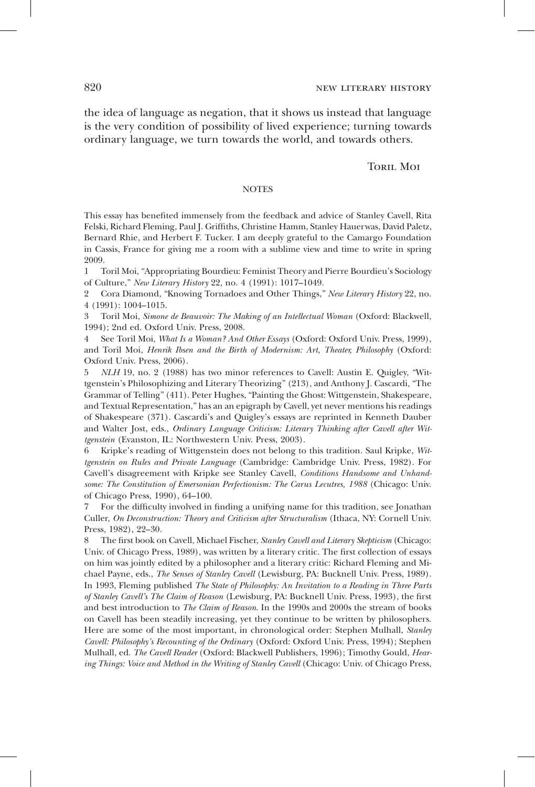the idea of language as negation, that it shows us instead that language is the very condition of possibility of lived experience; turning towards ordinary language, we turn towards the world, and towards others.

#### **TORIL MOI**

#### **NOTES**

This essay has benefited immensely from the feedback and advice of Stanley Cavell, Rita Felski, Richard Fleming, Paul J. Griffiths, Christine Hamm, Stanley Hauerwas, David Paletz, Bernard Rhie, and Herbert F. Tucker. I am deeply grateful to the Camargo Foundation in Cassis, France for giving me a room with a sublime view and time to write in spring 2009.

1 Toril Moi, "Appropriating Bourdieu: Feminist Theory and Pierre Bourdieu's Sociology of Culture," *New Literary History* 22, no. 4 (1991): 1017–1049.

2 Cora Diamond, "Knowing Tornadoes and Other Things," *New Literary History* 22, no. 4 (1991): 1004–1015.

3 Toril Moi, *Simone de Beauvoir: The Making of an Intellectual Woman* (Oxford: Blackwell, 1994); 2nd ed. Oxford Univ. Press, 2008.

4 See Toril Moi, *What Is a Woman? And Other Essays* (Oxford: Oxford Univ. Press, 1999), and Toril Moi, *Henrik Ibsen and the Birth of Modernism: Art, Theater, Philosophy* (Oxford: Oxford Univ. Press, 2006).

5 *NLH* 19, no. 2 (1988) has two minor references to Cavell: Austin E. Quigley, "Wittgenstein's Philosophizing and Literary Theorizing" (213), and Anthony J. Cascardi, "The Grammar of Telling" (411). Peter Hughes, "Painting the Ghost: Wittgenstein, Shakespeare, and Textual Representation," has an an epigraph by Cavell, yet never mentions his readings of Shakespeare (371). Cascardi's and Quigley's essays are reprinted in Kenneth Dauber and Walter Jost, eds., *Ordinary Language Criticism: Literary Thinking after Cavell after Wittgenstein* (Evanston, IL: Northwestern Univ. Press, 2003).

6 Kripke's reading of Wittgenstein does not belong to this tradition. Saul Kripke, *Wittgenstein on Rules and Private Language* (Cambridge: Cambridge Univ. Press, 1982). For Cavell's disagreement with Kripke see Stanley Cavell, *Conditions Handsome and Unhandsome: The Constitution of Emersonian Perfectionism: The Carus Lecutres, 1988* (Chicago: Univ. of Chicago Press, 1990), 64–100.

7 For the difficulty involved in finding a unifying name for this tradition, see Jonathan Culler, *On Deconstruction: Theory and Criticism after Structuralism* (Ithaca, NY: Cornell Univ. Press, 1982), 22–30.

8 The first book on Cavell, Michael Fischer, *Stanley Cavell and Literary Skepticism* (Chicago: Univ. of Chicago Press, 1989), was written by a literary critic. The first collection of essays on him was jointly edited by a philosopher and a literary critic: Richard Fleming and Michael Payne, eds., *The Senses of Stanley Cavell* (Lewisburg, PA: Bucknell Univ. Press, 1989). In 1993, Fleming published *The State of Philosophy: An Invitation to a Reading in Three Parts of Stanley Cavell's The Claim of Reason* (Lewisburg, PA: Bucknell Univ. Press, 1993), the first and best introduction to *The Claim of Reason*. In the 1990s and 2000s the stream of books on Cavell has been steadily increasing, yet they continue to be written by philosophers. Here are some of the most important, in chronological order: Stephen Mulhall, *Stanley Cavell: Philosophy's Recounting of the Ordinary* (Oxford: Oxford Univ. Press, 1994); Stephen Mulhall, ed. *The Cavell Reader* (Oxford: Blackwell Publishers, 1996); Timothy Gould, *Hearing Things: Voice and Method in the Writing of Stanley Cavell* (Chicago: Univ. of Chicago Press,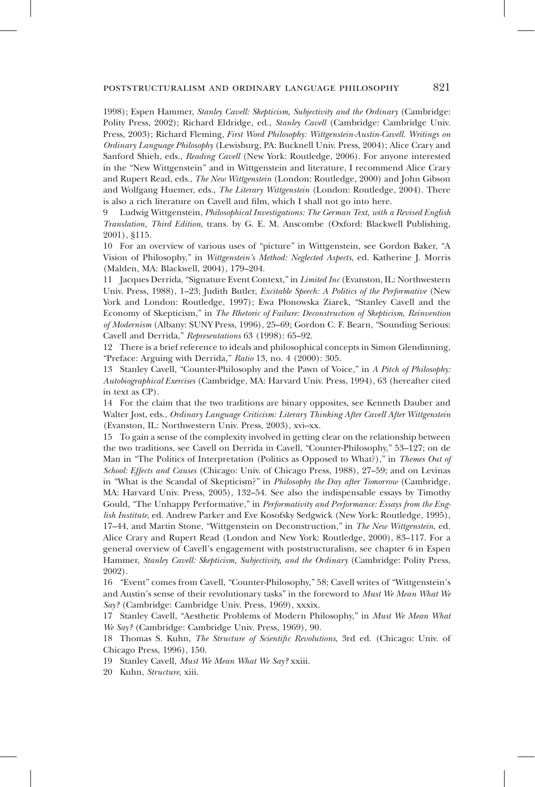1998); Espen Hammer, *Stanley Cavell: Skepticism, Subjectivity and the Ordinary* (Cambridge: Polity Press, 2002); Richard Eldridge, ed., *Stanley Cavell* (Cambridge: Cambridge Univ. Press, 2003); Richard Fleming, *First Word Philosophy: Wittgenstein-Austin-Cavell. Writings on Ordinary Language Philosophy* (Lewisburg, PA: Bucknell Univ. Press, 2004); Alice Crary and Sanford Shieh, eds., *Reading Cavell* (New York: Routledge, 2006). For anyone interested in the "New Wittgenstein" and in Wittgenstein and literature, I recommend Alice Crary and Rupert Read, eds., *The New Wittgenstein* (London: Routledge, 2000) and John Gibson and Wolfgang Huemer, eds., *The Literary Wittgenstein* (London: Routledge, 2004). There is also a rich literature on Cavell and film, which I shall not go into here.

9 Ludwig Wittgenstein, *Philosophical Investigations: The German Text, with a Revised English Translation, Third Edition*, trans. by G. E. M. Anscombe (Oxford: Blackwell Publishing, 2001), §115.

10 For an overview of various uses of "picture" in Wittgenstein, see Gordon Baker, "A Vision of Philosophy," in *Wittgenstein's Method: Neglected Aspects*, ed. Katherine J. Morris (Malden, MA: Blackwell, 2004), 179–204.

11 Jacques Derrida, "Signature Event Context," in *Limited Inc* (Evanston, IL: Northwestern Univ. Press, 1988), 1–23; Judith Butler, *Excitable Speech: A Politics of the Performative* (New York and London: Routledge, 1997); Ewa Płonowska Ziarek, "Stanley Cavell and the Economy of Skepticism," in *The Rhetoric of Failure: Deconstruction of Skepticism, Reinvention of Modernism* (Albany: SUNY Press, 1996), 25–69; Gordon C. F. Bearn, "Sounding Serious: Cavell and Derrida," *Representations* 63 (1998): 65–92.

12 There is a brief reference to ideals and philosophical concepts in Simon Glendinning, "Preface: Arguing with Derrida," *Ratio* 13, no. 4 (2000): 305.

13 Stanley Cavell, "Counter-Philosophy and the Pawn of Voice," in *A Pitch of Philosophy: Autobiographical Exercises* (Cambridge, MA: Harvard Univ. Press, 1994), 63 (hereafter cited in text as CP).

14 For the claim that the two traditions are binary opposites, see Kenneth Dauber and Walter Jost, eds., *Ordinary Language Criticism: Literary Thinking After Cavell After Wittgenstein* (Evanston, IL: Northwestern Univ. Press, 2003), xvi–xx.

15 To gain a sense of the complexity involved in getting clear on the relationship between the two traditions, see Cavell on Derrida in Cavell, "Counter-Philosophy," 53–127; on de Man in "The Politics of Interpretation (Politics as Opposed to What?)," in *Themes Out of School: Effects and Causes* (Chicago: Univ. of Chicago Press, 1988), 27–59; and on Levinas in "What is the Scandal of Skepticism?" in *Philosophy the Day after Tomorrow* (Cambridge, MA: Harvard Univ. Press, 2005), 132–54. See also the indispensable essays by Timothy Gould, "The Unhappy Performative," in *Performativity and Performance: Essays from the English Institute*, ed. Andrew Parker and Eve Kosofsky Sedgwick (New York: Routledge, 1995), 17–44, and Martin Stone, "Wittgenstein on Deconstruction," in *The New Wittgenstein*, ed. Alice Crary and Rupert Read (London and New York: Routledge, 2000), 83–117. For a general overview of Cavell's engagement with poststructuralism, see chapter 6 in Espen Hammer, *Stanley Cavell: Skepticism, Subjectivity, and the Ordinary* (Cambridge: Polity Press, 2002).

16 "Event" comes from Cavell, "Counter-Philosophy," 58; Cavell writes of "Wittgenstein's and Austin's sense of their revolutionary tasks" in the foreword to *Must We Mean What We Say?* (Cambridge: Cambridge Univ. Press, 1969), xxxix.

17 Stanley Cavell, "Aesthetic Problems of Modern Philosophy," in *Must We Mean What We Say?* (Cambridge: Cambridge Univ. Press, 1969), 90.

18 Thomas S. Kuhn, *The Structure of Scientific Revolutions*, 3rd ed. (Chicago: Univ. of Chicago Press, 1996), 150.

19 Stanley Cavell, *Must We Mean What We Say?* xxiii.

20 Kuhn, *Structure*, xiii.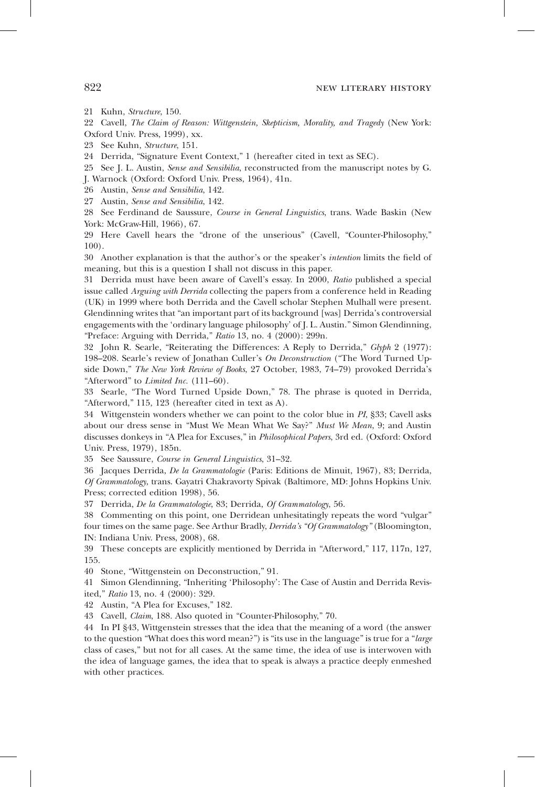21 Kuhn, *Structure*, 150.

22 Cavell, *The Claim of Reason: Wittgenstein, Skepticism, Morality, and Tragedy* (New York: Oxford Univ. Press, 1999), xx.

23 See Kuhn, *Structure*, 151.

24 Derrida, "Signature Event Context," 1 (hereafter cited in text as SEC).

25 See J. L. Austin, *Sense and Sensibilia*, reconstructed from the manuscript notes by G. J. Warnock (Oxford: Oxford Univ. Press, 1964), 41n.

26 Austin, *Sense and Sensibilia*, 142.

27 Austin, *Sense and Sensibilia*, 142.

28 See Ferdinand de Saussure, *Course in General Linguistics*, trans. Wade Baskin (New York: McGraw-Hill, 1966), 67.

29 Here Cavell hears the "drone of the unserious" (Cavell, "Counter-Philosophy," 100).

30 Another explanation is that the author's or the speaker's *intention* limits the field of meaning, but this is a question I shall not discuss in this paper.

31 Derrida must have been aware of Cavell's essay. In 2000, *Ratio* published a special issue called *Arguing with Derrida* collecting the papers from a conference held in Reading (UK) in 1999 where both Derrida and the Cavell scholar Stephen Mulhall were present. Glendinning writes that "an important part of its background [was] Derrida's controversial engagements with the 'ordinary language philosophy' of J. L. Austin." Simon Glendinning, "Preface: Arguing with Derrida," *Ratio* 13, no. 4 (2000): 299n.

32 John R. Searle, "Reiterating the Differences: A Reply to Derrida," *Glyph* 2 (1977): 198–208. Searle's review of Jonathan Culler's *On Deconstruction* ("The Word Turned Upside Down," *The New York Review of Books*, 27 October, 1983, 74–79) provoked Derrida's "Afterword" to *Limited Inc.* (111–60).

33 Searle, "The Word Turned Upside Down," 78. The phrase is quoted in Derrida, "Afterword," 115, 123 (hereafter cited in text as A).

34 Wittgenstein wonders whether we can point to the color blue in *PI*, §33; Cavell asks about our dress sense in "Must We Mean What We Say?" *Must We Mean*, 9; and Austin discusses donkeys in "A Plea for Excuses," in *Philosophical Papers*, 3rd ed. (Oxford: Oxford Univ. Press, 1979), 185n.

35 See Saussure, *Course in General Linguistics*, 31–32.

36 Jacques Derrida, *De la Grammatologie* (Paris: Editions de Minuit, 1967), 83; Derrida, *Of Grammatology*, trans. Gayatri Chakravorty Spivak (Baltimore, MD: Johns Hopkins Univ. Press; corrected edition 1998), 56.

37 Derrida, *De la Grammatologie*, 83; Derrida, *Of Grammatology*, 56.

38 Commenting on this point, one Derridean unhesitatingly repeats the word "vulgar" four times on the same page. See Arthur Bradly, *Derrida's "Of Grammatology"* (Bloomington, IN: Indiana Univ. Press, 2008), 68.

39 These concepts are explicitly mentioned by Derrida in "Afterword," 117, 117n, 127, 155.

40 Stone, "Wittgenstein on Deconstruction," 91.

41 Simon Glendinning, "Inheriting 'Philosophy': The Case of Austin and Derrida Revisited," *Ratio* 13, no. 4 (2000): 329.

42 Austin, "A Plea for Excuses," 182.

43 Cavell, *Claim*, 188. Also quoted in "Counter-Philosophy," 70.

44 In PI §43, Wittgenstein stresses that the idea that the meaning of a word (the answer to the question "What does this word mean?") is "its use in the language" is true for a "*large* class of cases," but not for all cases. At the same time, the idea of use is interwoven with the idea of language games, the idea that to speak is always a practice deeply enmeshed with other practices.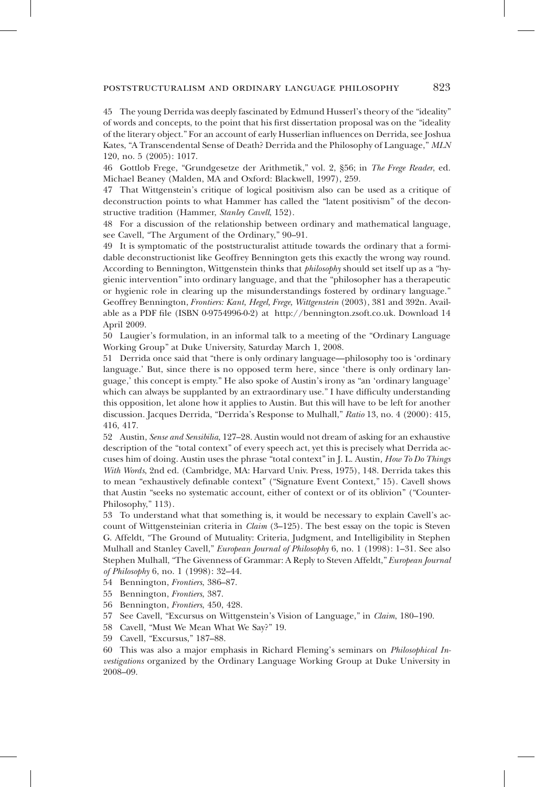45 The young Derrida was deeply fascinated by Edmund Husserl's theory of the "ideality" of words and concepts, to the point that his first dissertation proposal was on the "ideality of the literary object." For an account of early Husserlian influences on Derrida, see Joshua Kates, "A Transcendental Sense of Death? Derrida and the Philosophy of Language," *MLN* 120, no. 5 (2005): 1017.

46 Gottlob Frege, "Grundgesetze der Arithmetik," vol. 2, §56; in *The Frege Reader*, ed. Michael Beaney (Malden, MA and Oxford: Blackwell, 1997), 259.

47 That Wittgenstein's critique of logical positivism also can be used as a critique of deconstruction points to what Hammer has called the "latent positivism" of the deconstructive tradition (Hammer, *Stanley Cavell*, 152).

48 For a discussion of the relationship between ordinary and mathematical language, see Cavell, "The Argument of the Ordinary," 90–91.

49 It is symptomatic of the poststructuralist attitude towards the ordinary that a formidable deconstructionist like Geoffrey Bennington gets this exactly the wrong way round. According to Bennington, Wittgenstein thinks that *philosophy* should set itself up as a "hygienic intervention" into ordinary language, and that the "philosopher has a therapeutic or hygienic role in clearing up the misunderstandings fostered by ordinary language." Geoffrey Bennington, *Frontiers: Kant, Hegel, Frege, Wittgenstein* (2003), 381 and 392n. Available as a PDF file (ISBN 0-9754996-0-2) at http://bennington.zsoft.co.uk. Download 14 April 2009.

50 Laugier's formulation, in an informal talk to a meeting of the "Ordinary Language Working Group" at Duke University, Saturday March 1, 2008.

51 Derrida once said that "there is only ordinary language—philosophy too is 'ordinary language.' But, since there is no opposed term here, since 'there is only ordinary language,' this concept is empty." He also spoke of Austin's irony as "an 'ordinary language' which can always be supplanted by an extraordinary use." I have difficulty understanding this opposition, let alone how it applies to Austin. But this will have to be left for another discussion. Jacques Derrida, "Derrida's Response to Mulhall," *Ratio* 13, no. 4 (2000): 415, 416, 417.

52 Austin, *Sense and Sensibilia*, 127–28. Austin would not dream of asking for an exhaustive description of the "total context" of every speech act, yet this is precisely what Derrida accuses him of doing. Austin uses the phrase "total context" in J. L. Austin, *How To Do Things With Words*, 2nd ed. (Cambridge, MA: Harvard Univ. Press, 1975), 148. Derrida takes this to mean "exhaustively definable context" ("Signature Event Context," 15). Cavell shows that Austin "seeks no systematic account, either of context or of its oblivion" ("Counter-Philosophy," 113).

53 To understand what that something is, it would be necessary to explain Cavell's account of Wittgensteinian criteria in *Claim* (3–125). The best essay on the topic is Steven G. Affeldt, "The Ground of Mutuality: Criteria, Judgment, and Intelligibility in Stephen Mulhall and Stanley Cavell," *European Journal of Philosophy* 6, no. 1 (1998): 1–31. See also Stephen Mulhall, "The Givenness of Grammar: A Reply to Steven Affeldt," *European Journal of Philosophy* 6, no. 1 (1998): 32–44.

54 Bennington, *Frontiers*, 386–87.

- 55 Bennington, *Frontiers*, 387.
- 56 Bennington, *Frontiers*, 450, 428.
- 57 See Cavell, "Excursus on Wittgenstein's Vision of Language," in *Claim*, 180–190.
- 58 Cavell, "Must We Mean What We Say?" 19.
- 59 Cavell, "Excursus," 187–88.

60 This was also a major emphasis in Richard Fleming's seminars on *Philosophical Investigations* organized by the Ordinary Language Working Group at Duke University in 2008–09.